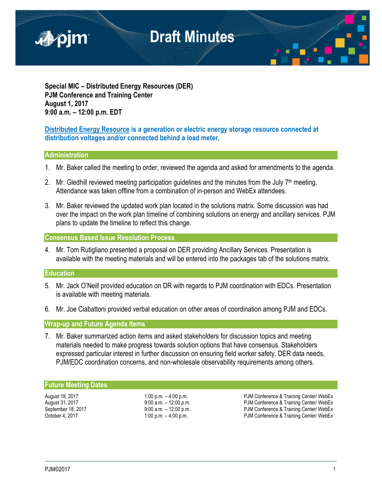

**Special MIC – Distributed Energy Resources (DER) PJM Conference and Training Center August 1, 2017 9:00 a.m. – 12:00 p.m. EDT**

# **Distributed Energy Resource is a generation or electric energy storage resource connected at distribution voltages and/or connected behind a load meter.**

## **Administration**

- 1. Mr. Baker called the meeting to order, reviewed the agenda and asked for amendments to the agenda.
- 2. Mr. Gledhill reviewed meeting participation quidelines and the minutes from the July  $7<sup>th</sup>$  meeting. Attendance was taken offline from a combination of in-person and WebEx attendees.
- 3. Mr. Baker reviewed the updated work plan located in the solutions matrix. Some discussion was had over the impact on the work plan timeline of combining solutions on energy and ancillary services. PJM plans to update the timeline to reflect this change.

## **Consensus Based Issue Resolution Process**

4. Mr. Tom Rutigliano presented a proposal on DER providing Ancillary Services. Presentation is available with the meeting materials and will be entered into the packages tab of the solutions matrix.

## **Education**

- 5. Mr. Jack O'Neill provided education on DR with regards to PJM coordination with EDCs. Presentation is available with meeting materials.
- 6. Mr. Joe Ciabattoni provided verbal education on other areas of coordination among PJM and EDCs.

# **Wrap-up and Future Agenda Items**

7. Mr. Baker summarized action items and asked stakeholders for discussion topics and meeting materials needed to make progress towards solution options that have consensus. Stakeholders expressed particular interest in further discussion on ensuring field worker safety, DER data needs, PJM/EDC coordination concerns, and non-wholesale observability requirements among others.

## **Future Meeting Dates**

August 18, 2017 **1:00 p.m. – 4:00 p.m.** – 4:00 p.m. PJM Conference & Training Center/ WebEx<br>August 31, 2017 **1:00 p.m. Pubber** 2:00 p.m. PJM Conference & Training Center/ WebEx PJM Conference & Training Center/ WebEx September 18, 2017 <br>
9:00 a.m. – 12:00 p.m.<br>
9:00 a.m. – 12:00 p.m. PJM Conference & Training Center/ WebEx<br>
PJM Conference & Training Center/ WebEx PJM Conference & Training Center/ WebEx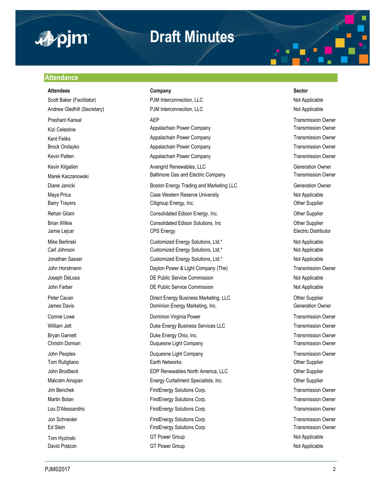

# **Draft Minutes**

### **Attendance**

### **Attendees Company Sector**

Scott Baker (Facilitator) **PJM Interconnection, LLC** Not Applicable Not Applicable Andrew Gledhill (Secretary) **PJM Interconnection, LLC** Not Applicable Not Applicable Prashant Kansal **AEP** AEP Transmission Owner Kizi Celestine **Appalachain Power Company Appalachain Power Company Transmission Owner** Kent Feliks **Appalachain Power Company Company** Transmission Owner Company Brock Ondayko **Appalachain Power Company Appalachain Power Company** Transmission Owner Kevin Patten **Appalachain Power Company Company** Transmission Owner Company Transmission Owner Kevin Kilgallen **Avangrid Renewables, LLC** Avangrid Renewables, LLC Marek Kaczanowski **Electric Company** Baltimore Gas and Electric Company Transmission Owner Diane Janicki **Boston Energy Trading and Marketing LLC Boston Energy Trading and Marketing LLC** Generation Owner Maya Prica **Not Applicable** Case Western Reserve University **Notiable** Not Applicable Barry Trayers **Citigroup Energy, Inc.** Citigroup Energy, Inc. Charges Cother Supplier Rehan Gilani **Consolidated Edison Energy, Inc.** Consolidated Edison Energy, Inc. Brian Wilkie **Consolidated Edison Solutions, Inc Consolidated Edison Solutions**, Inc **Consolidated Edison Solutions**, Inc Jamie Lejcar **CPS** Energy **CPS** Energy **CPS** Energy **Electric Distributor** Mike Berlinski **Nicholas Customized Energy Solutions**, Ltd.\* Not Applicable Not Applicable Carl Johnson Customized Energy Solutions, Ltd.\* Not Applicable Customized Energy Solutions, Ltd.\* Jonathan Sasser **Customized Energy Solutions, Ltd.\*** Not Applicable Not Applicable John Horstmann **Dayton Power & Light Company (The)** Transmission Owner Company (The Company Company Company Company Company Company Company Company Company Company Company Company Company Company Company Company Company Co Joseph DeLosa **DE Public Service Commission** DE Public Service Commission Not Applicable John Farber **DE Public Service Commission DE Public Service Commission** Not Applicable Peter Cavan **Direct Energy Business Marketing, LLC** Character Cavan Other Supplier James Davis **Dominion Energy Marketing, Inc.** The Commercial Commercial Commercial Commercial Commercial Commerci Connie Lowe **Connie Lowe Dominion Virginia Power Transmission Owner Transmission Owner** William Jett **Duke Energy Business Services LLC** Transmission Owner Bryan Garnett **Example 20** Energy Ohio, Inc. Transmission Owner **Duke Energy Ohio, Inc.** Transmission Owner Christin Domian Duquesne Light Company Transmission Owner John Peoples **Duquesne Light Company Company Transmission Owner** Transmission Owner Tom Rutigliano **Earth Networks** Character Character Character Character Character Character Character Character Character Character Character Character Character Character Character Character Character Character Character John Brodbeck **EDP Renewables North America, LLC** Christen Christen Christen Brodbeck Other Supplier Malcolm Ainspan **Energy Curtailment Specialists, Inc.** Chronic Communisty Communisty Communisty Communisty Communisty Communisty Communisty Communisty Communisty Communisty Communisty Communisty Communisty Communisty Commu Jim Benchek FirstEnergy Solutions Corp. Transmission Owner Martin Bolan **FirstEnergy Solutions Corp.** Transmission Owner Corp. Transmission Owner Lou D'Alessandris FirstEnergy Solutions Corp. Transmission Owner Jon Schneider **FirstEnergy Solutions Corp.** Transmission Owner Ed Stein FirstEnergy Solutions Corp. Transmission Owner Corp. Transmission Owner Tom Hyzinski Not Applicable GT Power Group Not Applicable Not Applicable David Pratzon **COLL Accord COVERTS** GT Power Group **Not Applicable** Not Applicable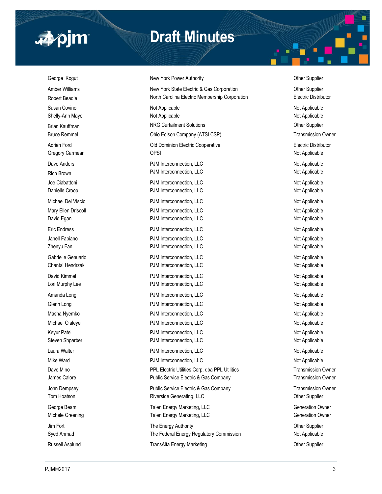

# **Draft Minutes**

# George Kogut **New York Power Authority New York Power Authority New York Power Authority Other Supplier**

Amber Williams **New York State Electric & Gas Corporation** Cher Supplier Robert Beadle **North Carolina Electric Membership Corporation** Electric Distributor Susan Covino Not Applicable Not Applicable Shelly-Ann Maye **Not Applicable** Not Applicable Not Applicable Not Applicable Not Applicable Brian Kauffman Natur Content Columbus NRG Curtailment Solutions Communications Communications Communications of the Supplier Bruce Remmel **Edison Company (ATSI CSP)** Transmission Owner Adrien Ford **Adrien Ford COLO EXECUTE:** Old Dominion Electric Cooperative **Colombia Electric Distributor** Electric Distributor Gregory Carmean **Carry Carmean** OPSI **Carry Carmean** OPSI **Not Applicable** Dave Anders **PJM Interconnection, LLC** Not Applicable Not Applicable Rich Brown **PJM Interconnection, LLC** Not Applicable Not Applicable Joe Ciabattoni **Not Applicable** PJM Interconnection, LLC Not Applicable Not Applicable Danielle Croop **PJM Interconnection, LLC** Not Applicable Not Applicable Michael Del Viscio **Not Applicable** PJM Interconnection, LLC Not Applicable Not Applicable Mary Ellen Driscoll **Natural Properties Connection** CLC Not Applicable Not Applicable David Egan **PJM Interconnection, LLC** Not Applicable Not Applicable Eric Endress **PJM Interconnection, LLC** Not Applicable Not Applicable Janell Fabiano **PHTM Interconnection, LLC** Not Applicable Not Applicable Zhenyu Fan **PJM Interconnection, LLC** Not Applicable Not Applicable Gabrielle Genuario **PJM Interconnection, LLC** 6 and 10 and 10 and 10 and 10 and 10 and 10 and 10 and 10 and 10 and 10 and 10 and 10 and 10 and 10 and 10 and 10 and 10 and 10 and 10 and 10 and 10 and 10 and 10 and 10 and 10 Chantal Hendrzak **PJM Interconnection, LLC** Not Applicable Not Applicable David Kimmel **Not Applicable** PJM Interconnection, LLC **Not Applicable** Not Applicable Lori Murphy Lee **Not Applicable** PJM Interconnection, LLC **Not Applicable** Not Applicable Amanda Long **PJM Interconnection, LLC** Amanda Long Not Applicable Glenn Long Not Applicable PJM Interconnection, LLC Not Applicable Not Applicable Masha Nyemko **PJM Interconnection, LLC** Not Applicable Not Applicable Michael Olaleye **Not Applicable** PJM Interconnection, LLC Not Applicable Not Applicable Keyur Patel **Not Applicable** PJM Interconnection, LLC Not Applicable Not Applicable Steven Shparber **Not Applicable** PJM Interconnection, LLC Not Applicable Not Applicable Laura Walter **Not Applicable** PJM Interconnection, LLC **Not Applicable** Not Applicable Mike Ward **PJM Interconnection, LLC** Not Applicable Not Applicable Dave Mino **PPL Electric Utilities Corp.** dba PPL Utilities Corp. Transmission Owner James Calore **Public Service Electric & Gas Company Public Service Electric & Gas Company** Transmission Owner John Dempsey **Public Service Electric & Gas Company** Transmission Owner Tom Hoatson **Riverside Generating, LLC Riverside Generating, LLC Changing Construction** Other Supplier George Beam **Talen Energy Marketing, LLC** George Beam Generation Owner Michele Greening **Talen Energy Marketing, LLC** Generation Owner Jim Fort **The Energy Authority The Energy Authority Channel Supplier** Other Supplier Syed Ahmad **Not Applicable** The Federal Energy Regulatory Commission Not Applicable Russell Asplund **TransAlta Energy Marketing Community** Other Supplier